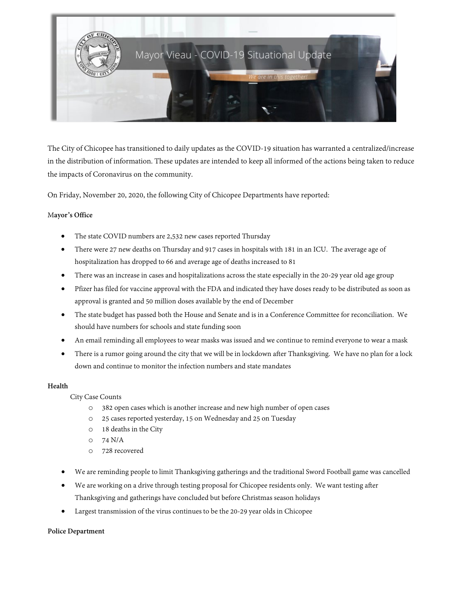

The City of Chicopee has transitioned to daily updates as the COVID-19 situation has warranted a centralized/increase in the distribution of information. These updates are intended to keep all informed of the actions being taken to reduce the impacts of Coronavirus on the community.

On Friday, November 20, 2020, the following City of Chicopee Departments have reported:

## M**ayor's Office**

- The state COVID numbers are 2,532 new cases reported Thursday
- There were 27 new deaths on Thursday and 917 cases in hospitals with 181 in an ICU. The average age of hospitalization has dropped to 66 and average age of deaths increased to 81
- There was an increase in cases and hospitalizations across the state especially in the 20-29 year old age group
- Pfizer has filed for vaccine approval with the FDA and indicated they have doses ready to be distributed as soon as approval is granted and 50 million doses available by the end of December
- The state budget has passed both the House and Senate and is in a Conference Committee for reconciliation. We should have numbers for schools and state funding soon
- An email reminding all employees to wear masks was issued and we continue to remind everyone to wear a mask
- There is a rumor going around the city that we will be in lockdown after Thanksgiving. We have no plan for a lock down and continue to monitor the infection numbers and state mandates

## **Health**

City Case Counts

- o 382 open cases which is another increase and new high number of open cases
- o 25 cases reported yesterday, 15 on Wednesday and 25 on Tuesday
- o 18 deaths in the City
- o 74 N/A
- o 728 recovered
- We are reminding people to limit Thanksgiving gatherings and the traditional Sword Football game was cancelled
- We are working on a drive through testing proposal for Chicopee residents only. We want testing after Thanksgiving and gatherings have concluded but before Christmas season holidays
- Largest transmission of the virus continues to be the 20-29 year olds in Chicopee

## **Police Department**